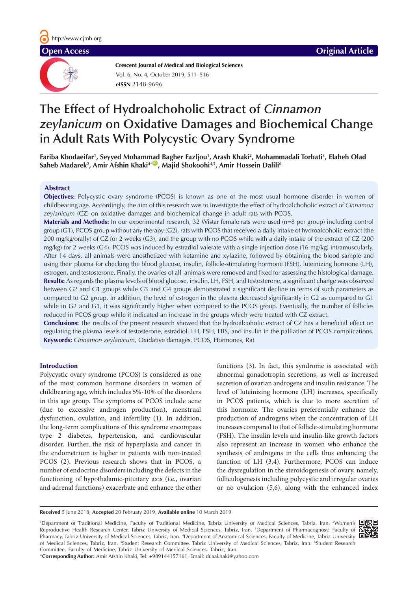**Crescent Journal of Medical and Biological Sciences eISSN** 2148-9696 Vol. 6, No. 4, October 2019, 511–516

# **The Effect of Hydroalchoholic Extract of** *Cinnamon zeylanicum* **on Oxidative Damages and Biochemical Change in Adult Rats With Polycystic Ovary Syndrome**

**Fariba Khodaeifar1 , Seyyed Moham[mad](https://orcid.org/0000-0003-0071-0400) Bagher Fazljou1 , Arash Khaki2 , Mohammadali Torbati3 , Elaheh Olad**  Saheb Madarek<sup>2</sup>, Amir Afshin Khaki<sup>4\*</sup>®, Majid Shokoohi<sup>4,5</sup>, Amir Hossein Dalili<sup>6</sup>

# **Abstract**

**Objectives:** Polycystic ovary syndrome (PCOS) is known as one of the most usual hormone disorder in women of childbearing age. Accordingly, the aim of this research was to investigate the effect of hydroalchoholic extract of *Cinnamon zeylanicum* (CZ) on oxidative damages and biochemical change in adult rats with PCOS.

**Materials and Methods:** In our experimental research, 32 Wistar female rats were used (n=8 per group) including control group (G1), PCOS group without any therapy (G2), rats with PCOS that received a daily intake of hydroalcoholic extract (the 200 mg/kg/orally) of CZ for 2 weeks (G3), and the group with no PCOS while with a daily intake of the extract of CZ (200 mg/kg) for 2 weeks (G4). PCOS was induced by estradiol valerate with a single injection dose (16 mg/kg) intramuscularly. After 14 days, all animals were anesthetized with ketamine and xylazine, followed by obtaining the blood sample and using their plasma for checking the blood glucose, insulin, follicle-stimulating hormone (FSH), luteinizing hormone (LH), estrogen, and testosterone. Finally, the ovaries of all animals were removed and fixed for assessing the histological damage. **Results:** As regards the plasma levels of blood glucose, insulin, LH, FSH, and testosterone, a significant change was observed between G2 and G1 groups while G3 and G4 groups demonstrated a significant decline in terms of such parameters as compared to G2 group. In addition, the level of estrogen in the plasma decreased significantly in G2 as compared to G1 while in G2 and G1, it was significantly higher when compared to the PCOS group. Eventually, the number of follicles reduced in PCOS group while it indicated an increase in the groups which were treated with CZ extract.

**Conclusions:** The results of the present research showed that the hydroalcoholic extract of CZ has a beneficial effect on regulating the plasma levels of testosterone, estradiol, LH, FSH, FBS, and insulin in the palliation of PCOS complications. **Keywords:** *Cinnamon zeylanicum*, Oxidative damages, PCOS, Hormones, Rat

# **Introduction**

Polycystic ovary syndrome (PCOS) is considered as one of the most common hormone disorders in women of childbearing age, which includes 5%-10% of the disorders in this age group. The symptoms of PCOS include acne (due to excessive androgen production), menstrual dysfunction, ovulation, and infertility (1). In addition, the long-term complications of this syndrome encompass type 2 diabetes, hypertension, and cardiovascular disorder. Further, the risk of hyperplasia and cancer in the endometrium is higher in patients with non-treated PCOS (2). Previous research shows that in PCOS, a number of endocrine disorders including the defects in the functioning of hypothalamic-pituitary axis (i.e., ovarian and adrenal functions) exacerbate and enhance the other

functions (3). In fact, this syndrome is associated with abnormal gonadotropin secretions, as well as increased secretion of ovarian androgens and insulin resistance. The level of luteinizing hormone (LH) increases, specifically in PCOS patients, which is due to more secretion of this hormone. The ovaries preferentially enhance the production of androgens when the concentration of LH increases compared to that of follicle-stimulating hormone (FSH). The insulin levels and insulin-like growth factors also represent an increase in women who enhance the synthesis of androgens in the cells thus enhancing the function of LH (3,4). Furthermore, PCOS can induce the dysregulation in the steroidogenesis of ovary, namely, folliculogenesis including polycystic and irregular ovaries or no ovulation (5,6), along with the enhanced index

**Received** 5 June 2018, **Accepted** 20 Februaty 2019, **Available online** 10 March 2019

1 Department of Traditional Medicine, Faculty of Traditional Medicine, Tabriz University of Medical Sciences, Tabriz, Iran. 2 Women's Reproductive Health Research Center, Tabriz University of Medical Sciences, Tabriz, Iran. 3 Department of Pharmacognosy, Faculty of Pharmacy, Tabriz University of Medical Sciences, Tabriz, Iran. <sup>4</sup>Department of Anatomical Sciences, Faculty of Medicine, Tabriz University of Medical Sciences, Tabriz, Iran. <sup>5</sup>Student Research Committee, Tabriz University of Medical Sciences, Tabriz, Iran. <sup>6</sup>Student Research Committee, Faculty of Medicine, Tabriz University of Medical Sciences, Tabriz, Iran.

\***Corresponding Author:** Amir Afshin Khaki, Tel: +989144157161, Email: dr.aakhaki@yahoo.com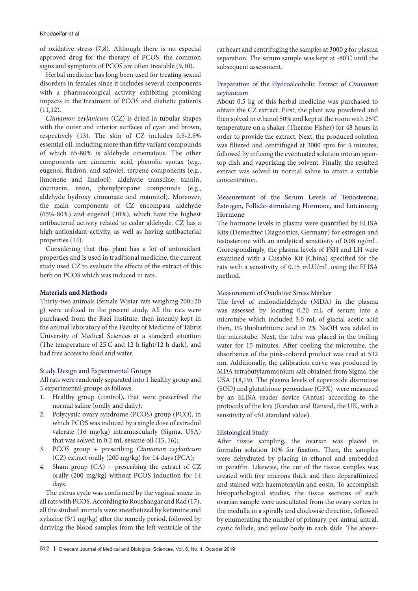of oxidative stress (7,8). Although there is no especial approved drug for the therapy of PCOS, the common signs and symptoms of PCOS are often treatable (9,10).

Herbal medicine has long been used for treating sexual disorders in females since it includes several components with a pharmacological activity exhibiting promising impacts in the treatment of PCOS and diabetic patients  $(11,12)$ .

*Cinnamon zeylanicum* (CZ) is dried in tubular shapes with the outer and interior surfaces of cyan and brown, respectively (13). The skin of CZ includes 0.5-2.5% essential oil, including more than fifty variant compounds of which 65-80% is aldehyde cinematous. The other components are cinnamic acid, phenolic syntax (e.g., eugenol, fledron, and safrole), terpene components (e.g., limonene and linalool), aldehyde transcine, tannin, coumarin, resin, phenylpropane compounds (e.g., aldehyde hydroxy cinnamate and mannitol). Moreover, the main components of CZ encompass aldehyde (65%-80%) and eugenol (10%), which have the highest antibacterial activity related to cedar aldehyde. CZ has a high antioxidant activity, as well as having antibacterial properties (14).

Considering that this plant has a lot of antioxidant properties and is used in traditional medicine, the current study used CZ to evaluate the effects of the extract of this herb on PCOS which was induced in rats.

# **Materials and Methods**

Thirty-two animals (female Wistar rats weighing 200±20 g) were utilized in the present study. All the rats were purchased from the Razi Institute, then intently kept in the animal laboratory of the Faculty of Medicine of Tabriz University of Medical Sciences at a standard situation (The temperature of 25° C and 12 h light/12 h dark), and had free access to food and water.

#### Study Design and Experimental Groups

All rats were randomly separated into 1 healthy group and 3 experimental groups as follows.

- 1. Healthy group (control), that were prescribed the normal saline (orally and daily);
- 2. Polycystic ovary syndrome (PCOS) group (PCO), in which PCOS was induced by a single dose of estradiol valerate (16 mg/kg) intramuscularly (Sigma, USA) that was solved in 0.2 mL sesame oil (15, 16);
- 3. PCOS group + prescribing *Cinnamon zeylanicum* (CZ) extract orally (200 mg/kg) for 14 days (PCA);
- 4. Sham group (CA) + prescribing the extract of CZ orally (200 mg/kg) without PCOS induction for 14 days.

The estrus cycle was confirmed by the vaginal smear in all rats with PCOS. According to Roushangar and Rad (17), all the studied animals were anesthetized by ketamine and xylazine (5/1 mg/kg) after the remedy period, followed by deriving the blood samples from the left ventricle of the rat heart and centrifuging the samples at 3000 g for plasma separation. The serum sample was kept at -80° C until the subsequent assessment.

# Preparation of the Hydroalcoholic Extract of *Cinnamon zeylanicum*

About 0.5 kg of this herbal medicine was purchased to obtain the CZ extract. First, the plant was powdered and then solved in ethanol 50% and kept at the room with 25º C temperature on a shaker (Thermo Fisher) for 48 hours in order to provide the extract. Next, the produced solution was filtered and centrifuged at 3000 rpm for 5 minutes, followed by infusing the eventuated solution into an opentop dish and vaporizing the solvent. Finally, the resulted extract was solved in normal saline to attain a suitable concentration.

# Measurement of the Serum Levels of Testosterone, Estrogen, Follicle-stimulating Hormone, and Luteinizing Hormone

The hormone levels in plasma were quantified by ELISA Kits (Demeditec Diagnostics, Germany) for estrogen and testosterone with an analytical sensitivity of 0.08 ng/mL. Correspondingly, the plasma levels of FSH and LH were examined with a Cusabio Kit (China) specified for the rats with a sensitivity of 0.15 mLU/mL using the ELISA method.

# Measurement of Oxidative Stress Marker

The level of malondialdehyde (MDA) in the plasma was assessed by locating 0.20 mL of serum into a microtube which included 3.0 mL of glacial acetic acid then, 1% thiobarbituric acid in 2% NaOH was added to the microtube. Next, the tube was placed in the boiling water for 15 minutes. After cooling the microtube, the absorbance of the pink-colored product was read at 532 nm. Additionally, the calibration curve was produced by MDA tetrabutylammonium salt obtained from Sigma, the USA (18,19). The plasma levels of superoxide dismutase (SOD) and glutathione peroxidase **(**GPX) were measured by an ELISA reader device (Antus) according to the protocols of the kits (Randox and Ransod, the UK, with a sensitivity of <S1 standard value).

#### Histological Study

After tissue sampling, the ovarian was placed in formalin solution 10% for fixation. Then, the samples were dehydrated by placing in ethanol and embedded in paraffin. Likewise, the cut of the tissue samples was created with five microns thick and then deparaffinized and stained with haemotoxylin and eosin. To accomplish histopathological studies, the tissue sections of each ovarian sample were auscultated from the ovary cortex to the medulla in a spirally and clockwise direction, followed by enumerating the number of primary, per-antral, antral, cystic follicle, and yellow body in each slide. The above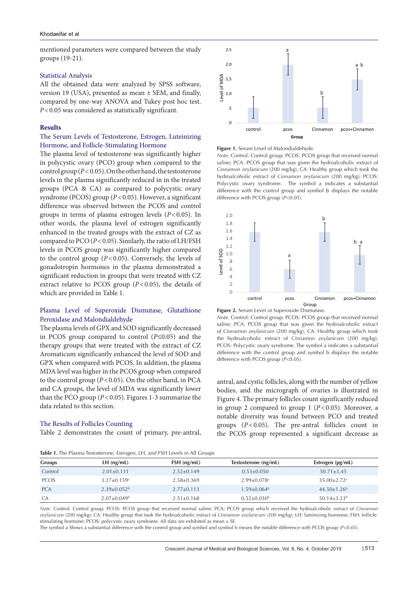mentioned parameters were compared between the study groups (19-21).

#### Statistical Analysis

All the obtained data were analyzed by SPSS software, version 19 (USA), presented as mean ± SEM, and finally, compared by one-way ANOVA and Tukey post hoc test. *P*<0.05 was considered as statistically significant.

#### **Results**

# The Serum Levels of Testosterone, Estrogen, Luteinizing Hormone, and Follicle-Stimulating Hormone

The plasma level of testosterone was significantly higher in polycystic ovary (PCO) group when compared to the control group (*P*<0.05). On the other hand, the testosterone levels in the plasma significantly reduced in in the treated groups (PCA & CA) as compared to polycystic ovary syndrome (PCOS) group ( $P < 0.05$ ). However, a significant difference was observed between the PCOS and control groups in terms of plasma estrogen levels (*P*<0.05). In other words, the plasma level of estrogen significantly enhanced in the treated groups with the extract of CZ as compared to PCO (*P*<0.05). Similarly, the ratio of LH/FSH levels in PCOS group was significantly higher compared to the control group  $(P<0.05)$ . Conversely, the levels of gonadotropin hormones in the plasma demonstrated a significant reduction in groups that were treated with CZ extract relative to PCOS group (*P*<0.05), the details of which are provided in Table 1.

# Plasma Level of Superoxide Dismutase, Glutathione Peroxidase and Malondialdehyde

The plasma levels of GPX and SOD significantly decreased in PCOS group compared to control (*P*≤0.05) and the therapy groups that were treated with the extract of CZ Aromaticum significantly enhanced the level of SOD and GPX when compared with PCOS. In addition, the plasma MDA level was higher in the PCOS group when compared to the control group (*P*<0.05). On the other hand, in PCA and CA groups, the level of MDA was significantly lower than the PCO group (*P*<0.05). Figures 1-3 summarize the data related to this section.

# The Results of Follicles Counting

Table 2 demonstrates the count of primary, pre-antral,



#### **Figure 1.** Serum Level of Malondialdehyde.

*Note.* Control: Control group; PCOS: PCOS group that received normal saline; PCA: PCOS group that was given the hydroalcoholic extract of *Cinnamon zeylanicum* (200 mg/kg), CA: Healthy group which took the hydroalcoholic extract of *Cinnamon zeylanicum* (200 mg/kg); PCOS: Polycystic ovary syndrome. The symbol a indicates a substantial difference with the control group and symbol b displays the notable difference with PCOS group (*P*<0.05).





*Note.* Control: Control group; PCOS: PCOS group that received normal saline; PCA: PCOS group that was given the hydroalcoholic extract of *Cinnamon zeylanicum* (200 mg/kg), CA: Healthy group which took the hydroalcoholic extract of *Cinnamon zeylanicum* (200 mg/kg); PCOS: Polycystic ovary syndrome. The symbol a indicates a substantial difference with the control group and symbol b displays the notable difference with PCOS group (*P*<0.05).

antral, and cystic follicles, along with the number of yellow bodies, and the micrograph of ovaries is illustrated in Figure 4. The primary follicles count significantly reduced in group 2 compared to group  $1$  ( $P < 0.05$ ). Moreover, a notable diversity was found between PCO and treated groups (*P*<0.05). The pre-antral follicles count in the PCOS group represented a significant decrease as

**Table 1.** The Plasma Testosterone, Estrogen, LH, and FSH Levels in All Groups

| <b>AND IT MOTHER RESERVED MORE EXERCIT LETTER IN THE CHOICH CHORD</b> |                  |                               |                               |  |  |  |
|-----------------------------------------------------------------------|------------------|-------------------------------|-------------------------------|--|--|--|
| $LH$ (ng/mL)                                                          | $FSH$ (ng/mL)    |                               | Estrogen (pg/mL)              |  |  |  |
| $2.01 \pm 0.131$                                                      | $2.52 \pm 0.149$ | $0.53 \pm 0.050$              | $50.71 \pm 3.45$              |  |  |  |
| $3.27 \pm 0.159$ <sup>a</sup>                                         | $2.58 \pm 0.369$ | $2.99 \pm 0.078$ <sup>a</sup> | $35.00 \pm 2.72$ <sup>a</sup> |  |  |  |
| $2.39 \pm 0.052^{\rm b}$                                              | $2.77 \pm 0.113$ | $1.59 \pm 0.064^b$            | $44.50+1.26^b$                |  |  |  |
| $2.07 \pm 0.049^{\rm b}$                                              | $2.51 \pm 0.168$ | $0.52 \pm 0.030^{\circ}$      | $50.14 + 3.23^b$              |  |  |  |
|                                                                       |                  |                               | Testosterone (ng/mL)          |  |  |  |

*Note.* Control: Control group; PCOS: PCOS group that received normal saline; PCA: PCOS group which received the hydroalcoholic extract of *Cinnamon zeylanicum* (200 mg/kg); CA: Healthy group that took the hydroalcoholic extract of *Cinnamon zeylanicum* (200 mg/kg); LH: luteinizing hormone; FSH: folliclestimulating hormone; PCOS: polycystic ovary syndrome. All data are exhibited as mean  $\pm$  SE.

The symbol a Shows a substantial difference with the control group and symbol and symbol b means the notable difference with PCOS group (*P*<0.05).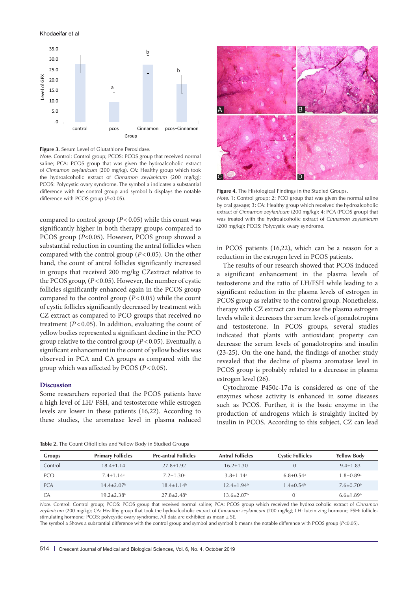

**Figure 3.** Serum Level of Glutathione Peroxidase.

*Note.* Control: Control group; PCOS: PCOS group that received normal saline; PCA: PCOS group that was given the hydroalcoholic extract of *Cinnamon zeylanicum* (200 mg/kg), CA: Healthy group which took the hydroalcoholic extract of *Cinnamon zeylanicum* (200 mg/kg); PCOS: Polycystic ovary syndrome. The symbol a indicates a substantial difference with the control group and symbol b displays the notable difference with PCOS group (*P*<0.05).

compared to control group  $(P<0.05)$  while this count was significantly higher in both therapy groups compared to PCOS group (*P*<0.05). However, PCOS group showed a substantial reduction in counting the antral follicles when compared with the control group (*P*<0.05). On the other hand, the count of antral follicles significantly increased in groups that received 200 mg/kg CZextract relative to the PCOS group,  $(P < 0.05)$ . However, the number of cystic follicles significantly enhanced again in the PCOS group compared to the control group (*P*<0.05) while the count of cystic follicles significantly decreased by treatment with CZ extract as compared to PCO groups that received no treatment  $(P<0.05)$ . In addition, evaluating the count of yellow bodies represented a significant decline in the PCO group relative to the control group (*P*<0.05). Eventually, a significant enhancement in the count of yellow bodies was observed in PCA and CA groups as compared with the group which was affected by PCOS (*P*<0.05).

#### **Discussion**

Some researchers reported that the PCOS patients have a high level of LH/ FSH, and testosterone while estrogen levels are lower in these patients (16,22). According to these studies, the aromatase level in plasma reduced

**Table 2.** The Count Offollicles and Yellow Body in Studied Groups



**Figure 4.** The Histological Findings in the Studied Groups.

*Note.* 1: Control group; 2: PCO group that was given the normal saline by oral gavage; 3: CA: Healthy group which received the hydroalcoholic extract of *Cinnamon zeylanicum* (200 mg/kg); 4: PCA (PCOS group) that was treated with the hydroalcoholic extract of *Cinnamon zeylanicum*  (200 mg/kg); PCOS: Polycystic ovary syndrome.

in PCOS patients (16,22), which can be a reason for a reduction in the estrogen level in PCOS patients.

The results of our research showed that PCOS induced a significant enhancement in the plasma levels of testosterone and the ratio of LH/FSH while leading to a significant reduction in the plasma levels of estrogen in PCOS group as relative to the control group. Nonetheless, therapy with CZ extract can increase the plasma estrogen levels while it decreases the serum levels of gonadotropins and testosterone. In PCOS groups, several studies indicated that plants with antioxidant property can decrease the serum levels of gonadotropins and insulin (23-25). On the one hand, the findings of another study revealed that the decline of plasma aromatase level in PCOS group is probably related to a decrease in plasma estrogen level (26).

Cytochrome P450c-17α is considered as one of the enzymes whose activity is enhanced in some diseases such as PCOS. Further, it is the basic enzyme in the production of androgens which is straightly incited by insulin in PCOS. According to this subject, CZ can lead

| <b>Groups</b> | <b>Primary Follicles</b>   | <b>Pre-antral Follicles</b> | <b>Antral Follicles</b>   | <b>Cystic Follicles</b>   | <b>Yellow Body</b>        |
|---------------|----------------------------|-----------------------------|---------------------------|---------------------------|---------------------------|
| Control       | $18.4 + 1.14$              | $27.8 + 1.92$               | $16.2 + 1.30$             |                           | $9.4 \pm 1.83$            |
| <b>PCO</b>    | $7.4 + 1.14$ <sup>a</sup>  | $7.2 + 1.30$ <sup>a</sup>   | $3.8 + 1.14$ <sup>a</sup> | $6.8 + 0.54$ <sup>a</sup> | $1.8 + 0.89$ <sup>a</sup> |
| <b>PCA</b>    | $14.4+2.07b$               | $18.4 + 1.14^b$             | $12.4 + 1.94^b$           | $1.4 + 0.54^b$            | $7.6 + 0.70^b$            |
| CA            | $19.2 + 2.38$ <sup>b</sup> | $27.8 + 2.48$ <sup>b</sup>  | $13.6 + 2.07b$            | $0^+$                     | $6.6 + 1.89$ <sup>b</sup> |

*Note.* Control: Control group; PCOS: PCOS group that received normal saline; PCA: PCOS group which received the hydroalcoholic extract of *Cinnamon zeylanicum* (200 mg/kg); CA: Healthy group that took the hydroalcoholic extract of *Cinnamon zeylanicum* (200 mg/kg); LH: luteinizing hormone; FSH: folliclestimulating hormone; PCOS: polycystic ovary syndrome. All data are exhibited as mean  $\pm$  SE.

The symbol a Shows a substantial difference with the control group and symbol and symbol b means the notable difference with PCOS group (*P*<0.05).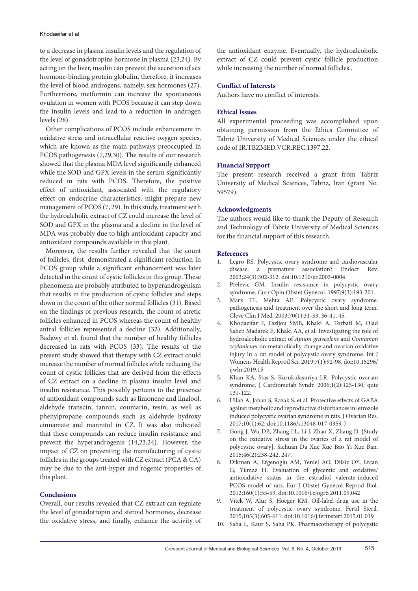to a decrease in plasma insulin levels and the regulation of the level of gonadotropins hormone in plasma (23,24). By acting on the liver, insulin can prevent the secretion of sex hormone-binding protein globulin, therefore, it increases the level of blood androgens, namely, sex hormones (27). Furthermore, metformin can increase the spontaneous ovulation in women with PCOS because it can step down the insulin levels and lead to a reduction in androgen levels (28).

Other complications of PCOS include enhancement in oxidative stress and intracellular reactive oxygen species, which are known as the main pathways preoccupied in PCOS pathogenesis (7,29,30). The results of our research showed that the plasma MDA level significantly enhanced while the SOD and GPX levels in the serum significantly reduced in rats with PCOS. Therefore, the positive effect of antioxidant, associated with the regulatory effect on endocrine characteristics, might prepare new management of PCOS (7, 29). In this study, treatment with the hydroalcholic extract of CZ could increase the level of SOD and GPX in the plasma and a decline in the level of MDA was probably due to high antioxidant capacity and antioxidant compounds available in this plant.

Moreover, the results further revealed that the count of follicles, first, demonstrated a significant reduction in PCOS group while a significant enhancement was later detected in the count of cystic follicles in this group. These phenomena are probably attributed to hyperandrogenism that results in the production of cystic follicles and steps down in the count of the other normal follicles (31). Based on the findings of previous research, the count of atretic follicles enhanced in PCOS whereas the count of healthy antral follicles represented a decline (32). Additionally, Badawy et al. found that the number of healthy follicles decreased in rats with PCOS (33). The results of the present study showed that therapy with CZ extract could increase the number of normal follicles while reducing the count of cystic follicles that are derived from the effects of CZ extract on a decline in plasma insulin level and insulin resistance. This possibly pertains to the presence of antioxidant compounds such as limonene and linalool, aldehyde transcin, tannin, coumarin, resin, as well as phenylpropane compounds such as aldehyde hydroxy cinnamate and mannitol in CZ. It was also indicated that these compounds can reduce insulin resistance and prevent the hyperandrogenis (14,23,24). However, the impact of CZ on preventing the manufacturing of cystic follicles in the groups treated with CZ extract (PCA & CA) may be due to the anti-hyper and rogenic properties of this plant.

# **Conclusions**

Overall, our results revealed that CZ extract can regulate the level of gonadotropin and steroid hormones, decrease the oxidative stress, and finally, enhance the activity of

the antioxidant enzyme. Eventually, the hydroalcoholic extract of CZ could prevent cystic follicle production while increasing the number of normal follicles..

#### **Conflict of Interests**

Authors have no conflict of interests.

#### **Ethical Issues**

All experimental proceeding was accomplished upon obtaining permission from the Ethics Committee of Tabriz University of Medical Sciences under the ethical code of IR.TBZMED.VCR.REC.1397.22.

#### **Financial Support**

The present research received a grant from Tabriz University of Medical Sciences, Tabriz, Iran (grant No. 59579).

#### **Acknowledgments**

The authors would like to thank the Deputy of Research and Technology of Tabriz University of Medical Sciences for the financial support of this research.

#### **References**

- 1. Legro RS. Polycystic ovary syndrome and cardiovascular disease: a premature association? Endocr Rev. 2003;24(3):302-312. doi:10.1210/er.2003-0004
- 2. Prelevic GM. Insulin resistance in polycystic ovary syndrome. Curr Opin Obstet Gynecol. 1997;9(3):193-201.
- 3. Marx TL, Mehta AE. Polycystic ovary syndrome: pathogenesis and treatment over the short and long term. Cleve Clin J Med. 2003;70(1):31-33, 36-41, 45.
- 4. Khodaeifar F, Fazljou SMB, Khaki A, Torbati M, Olad Saheb Madarek E, Khaki AA, et al. Investigating the role of hydroalcoholic extract of *Apium graveolens* and *Cinnamon zeylanicum* on metabolically change and ovarian oxidative injury in a rat model of polycystic ovary syndrome. Int J Womens Health Reprod Sci. 2019;7(1):92-98. doi:10.15296/ ijwhr.2019.15
- 5. Khan KA, Stas S, Kurukulasuriya LR. Polycystic ovarian syndrome. J Cardiometab Syndr. 2006;1(2):125-130; quiz 131-122.
- 6. Ullah A, Jahan S, Razak S, et al. Protective effects of GABA against metabolic and reproductive disturbances in letrozole induced polycystic ovarian syndrome in rats. J Ovarian Res. 2017;10(1):62. doi:10.1186/s13048-017-0359-7
- 7. Gong J, Wu DB, Zhang LL, Li J, Zhao X, Zhang D. [Study on the oxidative stress in the ovaries of a rat model of polycystic ovary]. Sichuan Da Xue Xue Bao Yi Xue Ban. 2015;46(2):238-242, 247.
- 8. Dikmen A, Ergenoglu AM, Yeniel AO, Dilsiz OY, Ercan G, Yilmaz H. Evaluation of glycemic and oxidative/ antioxidative status in the estradiol valerate-induced PCOS model of rats. Eur J Obstet Gynecol Reprod Biol. 2012;160(1):55-59. doi:10.1016/j.ejogrb.2011.09.042
- 9. Vitek W, Alur S, Hoeger KM. Off-label drug use in the treatment of polycystic ovary syndrome. Fertil Steril. 2015;103(3):605-611. doi:10.1016/j.fertnstert.2015.01.019
- 10. Saha L, Kaur S, Saha PK. Pharmacotherapy of polycystic